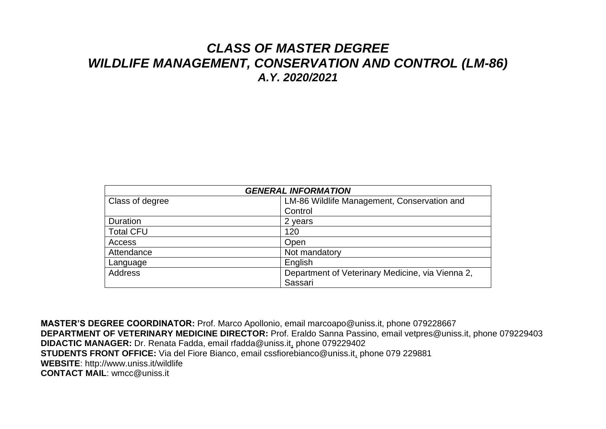## *CLASS OF MASTER DEGREE WILDLIFE MANAGEMENT, CONSERVATION AND CONTROL (LM-86) A.Y. 2020/2021*

| <b>GENERAL INFORMATION</b> |                                                  |  |  |  |
|----------------------------|--------------------------------------------------|--|--|--|
| Class of degree            | LM-86 Wildlife Management, Conservation and      |  |  |  |
|                            | Control                                          |  |  |  |
| Duration                   | 2 years                                          |  |  |  |
| <b>Total CFU</b>           | 120                                              |  |  |  |
| Access                     | Open                                             |  |  |  |
| Attendance                 | Not mandatory                                    |  |  |  |
| Language                   | English                                          |  |  |  |
| <b>Address</b>             | Department of Veterinary Medicine, via Vienna 2, |  |  |  |
|                            | Sassari                                          |  |  |  |

**MASTER'S DEGREE COORDINATOR:** Prof. Marco Apollonio, email marcoapo@uniss.it, phone 079228667 **DEPARTMENT OF VETERINARY MEDICINE DIRECTOR:** Prof. Eraldo Sanna Passino, email vetpres@uniss.it, phone 079229403 **DIDACTIC MANAGER:** Dr. Renata Fadda, email rfadda@uniss.it, phone 079229402 **STUDENTS FRONT OFFICE:** Via del Fiore Bianco, email cssfiorebianco@uniss.it, phone 079 229881 **WEBSITE**: http://www.uniss.it/wildlife **CONTACT MAIL**: wmcc@uniss.it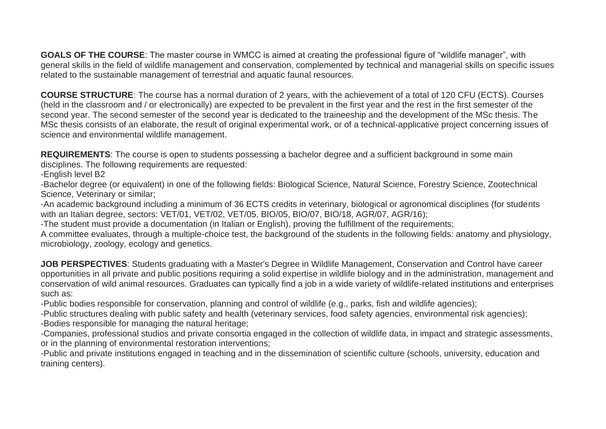**GOALS OF THE COURSE**: The master course in WMCC is aimed at creating the professional figure of "wildlife manager", with general skills in the field of wildlife management and conservation, complemented by technical and managerial skills on specific issues related to the sustainable management of terrestrial and aquatic faunal resources.

**COURSE STRUCTURE**: The course has a normal duration of 2 years, with the achievement of a total of 120 CFU (ECTS). Courses (held in the classroom and / or electronically) are expected to be prevalent in the first year and the rest in the first semester of the second year. The second semester of the second year is dedicated to the traineeship and the development of the MSc thesis. The MSc thesis consists of an elaborate, the result of original experimental work, or of a technical-applicative project concerning issues of science and environmental wildlife management.

**REQUIREMENTS**: The course is open to students possessing a bachelor degree and a sufficient background in some main disciplines. The following requirements are requested:

-English level B2

-Bachelor degree (or equivalent) in one of the following fields: Biological Science, Natural Science, Forestry Science, Zootechnical Science, Veterinary or similar;

-An academic background including a minimum of 36 ECTS credits in veterinary, biological or agronomical disciplines (for students with an Italian degree, sectors: VET/01, VET/02, VET/05, BIO/05, BIO/07, BIO/18, AGR/07, AGR/16);

-The student must provide a documentation (in Italian or English), proving the fulfillment of the requirements;

A committee evaluates, through a multiple-choice test, the background of the students in the following fields: anatomy and physiology, microbiology, zoology, ecology and genetics.

**JOB PERSPECTIVES**: Students graduating with a Master's Degree in Wildlife Management, Conservation and Control have career opportunities in all private and public positions requiring a solid expertise in wildlife biology and in the administration, management and conservation of wild animal resources. Graduates can typically find a job in a wide variety of wildlife-related institutions and enterprises such as:

-Public bodies responsible for conservation, planning and control of wildlife (e.g., parks, fish and wildlife agencies);

-Public structures dealing with public safety and health (veterinary services, food safety agencies, environmental risk agencies);

-Bodies responsible for managing the natural heritage;

-Companies, professional studios and private consortia engaged in the collection of wildlife data, in impact and strategic assessments, or in the planning of environmental restoration interventions;

-Public and private institutions engaged in teaching and in the dissemination of scientific culture (schools, university, education and training centers).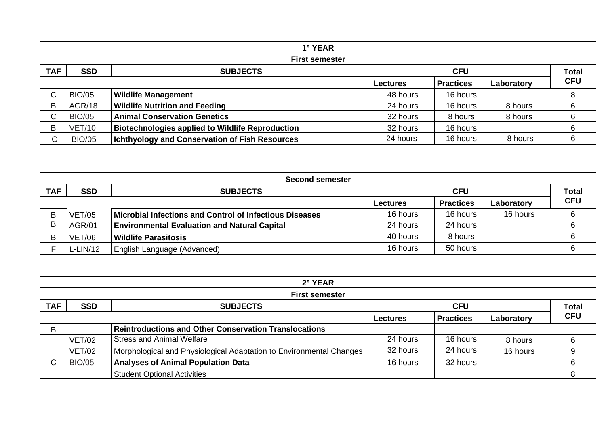|            |               | 1° YEAR                                                 |                 |                  |            |              |
|------------|---------------|---------------------------------------------------------|-----------------|------------------|------------|--------------|
|            |               | <b>First semester</b>                                   |                 |                  |            |              |
| <b>TAF</b> | <b>SSD</b>    | <b>SUBJECTS</b>                                         |                 | <b>CFU</b>       |            | <b>Total</b> |
|            |               |                                                         | <b>Lectures</b> | <b>Practices</b> | Laboratory | <b>CFU</b>   |
| ⌒          | <b>BIO/05</b> | <b>Wildlife Management</b>                              | 48 hours        | 16 hours         |            |              |
| B          | <b>AGR/18</b> | <b>Wildlife Nutrition and Feeding</b>                   | 24 hours        | 16 hours         | 8 hours    |              |
|            | <b>BIO/05</b> | <b>Animal Conservation Genetics</b>                     | 32 hours        | 8 hours          | 8 hours    |              |
| B          | <b>VET/10</b> | <b>Biotechnologies applied to Wildlife Reproduction</b> | 32 hours        | 16 hours         |            | 6            |
| C          | <b>BIO/05</b> | <b>Ichthyology and Conservation of Fish Resources</b>   | 24 hours        | 16 hours         | 8 hours    |              |

|            |               | <b>Second semester</b>                                  |            |                  |              |            |
|------------|---------------|---------------------------------------------------------|------------|------------------|--------------|------------|
| <b>TAF</b> | <b>SSD</b>    | <b>SUBJECTS</b>                                         | <b>CFU</b> |                  | <b>Total</b> |            |
|            |               |                                                         | Lectures   | <b>Practices</b> | Laboratory   | <b>CFU</b> |
|            | <b>VET/05</b> | Microbial Infections and Control of Infectious Diseases | 16 hours   | 16 hours         | 16 hours     |            |
| D          | <b>AGR/01</b> | <b>Environmental Evaluation and Natural Capital</b>     | 24 hours   | 24 hours         |              |            |
| D.         | <b>VET/06</b> | Wildlife Parasitosis                                    | 40 hours   | 8 hours          |              |            |
|            | L-LIN/12      | English Language (Advanced)                             | 16 hours   | 50 hours         |              |            |

|            |               | 2° YEAR                                                             |                 |                  |            |              |
|------------|---------------|---------------------------------------------------------------------|-----------------|------------------|------------|--------------|
|            |               | <b>First semester</b>                                               |                 |                  |            |              |
| <b>TAF</b> | <b>SSD</b>    | <b>SUBJECTS</b>                                                     |                 | <b>CFU</b>       |            | <b>Total</b> |
|            |               |                                                                     | <b>Lectures</b> | <b>Practices</b> | Laboratory | <b>CFU</b>   |
| B          |               | <b>Reintroductions and Other Conservation Translocations</b>        |                 |                  |            |              |
|            | <b>VET/02</b> | <b>Stress and Animal Welfare</b>                                    | 24 hours        | 16 hours         | 8 hours    |              |
|            | <b>VET/02</b> | Morphological and Physiological Adaptation to Environmental Changes | 32 hours        | 24 hours         | 16 hours   | 9            |
|            | <b>BIO/05</b> | <b>Analyses of Animal Population Data</b>                           | 16 hours        | 32 hours         |            | 6            |
|            |               | <b>Student Optional Activities</b>                                  |                 |                  |            |              |